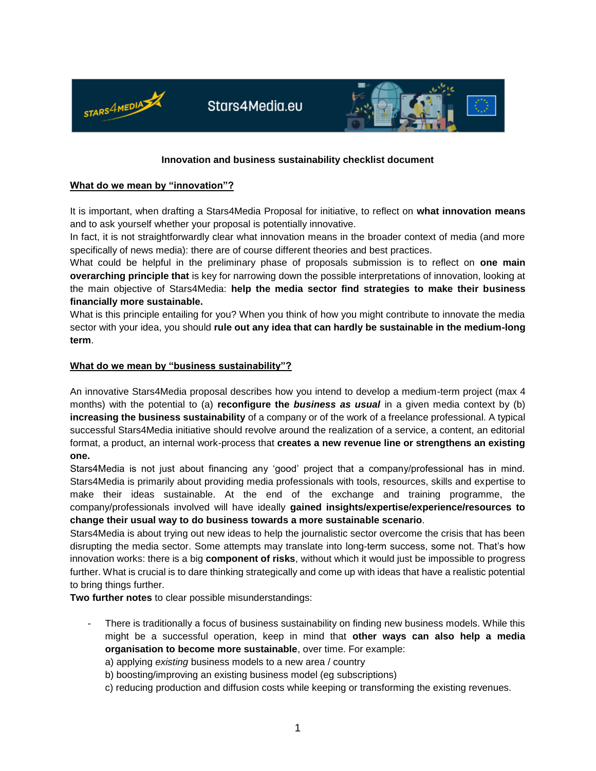

## **Innovation and business sustainability checklist document**

#### **What do we mean by "innovation"?**

It is important, when drafting a Stars4Media Proposal for initiative, to reflect on **what innovation means**  and to ask yourself whether your proposal is potentially innovative.

In fact, it is not straightforwardly clear what innovation means in the broader context of media (and more specifically of news media): there are of course different theories and best practices.

What could be helpful in the preliminary phase of proposals submission is to reflect on **one main overarching principle that** is key for narrowing down the possible interpretations of innovation, looking at the main objective of Stars4Media: **help the media sector find strategies to make their business financially more sustainable.**

What is this principle entailing for you? When you think of how you might contribute to innovate the media sector with your idea, you should **rule out any idea that can hardly be sustainable in the medium-long term**.

### **What do we mean by "business sustainability"?**

An innovative Stars4Media proposal describes how you intend to develop a medium-term project (max 4 months) with the potential to (a) **reconfigure the** *business as usual* in a given media context by (b) **increasing the business sustainability** of a company or of the work of a freelance professional. A typical successful Stars4Media initiative should revolve around the realization of a service, a content, an editorial format, a product, an internal work-process that **creates a new revenue line or strengthens an existing one.**

Stars4Media is not just about financing any 'good' project that a company/professional has in mind. Stars4Media is primarily about providing media professionals with tools, resources, skills and expertise to make their ideas sustainable. At the end of the exchange and training programme, the company/professionals involved will have ideally **gained insights/expertise/experience/resources to change their usual way to do business towards a more sustainable scenario**.

Stars4Media is about trying out new ideas to help the journalistic sector overcome the crisis that has been disrupting the media sector. Some attempts may translate into long-term success, some not. That's how innovation works: there is a big **component of risks**, without which it would just be impossible to progress further. What is crucial is to dare thinking strategically and come up with ideas that have a realistic potential to bring things further.

**Two further notes** to clear possible misunderstandings:

There is traditionally a focus of business sustainability on finding new business models. While this might be a successful operation, keep in mind that **other ways can also help a media organisation to become more sustainable**, over time. For example:

a) applying *existing* business models to a new area / country

b) boosting/improving an existing business model (eg subscriptions)

c) reducing production and diffusion costs while keeping or transforming the existing revenues.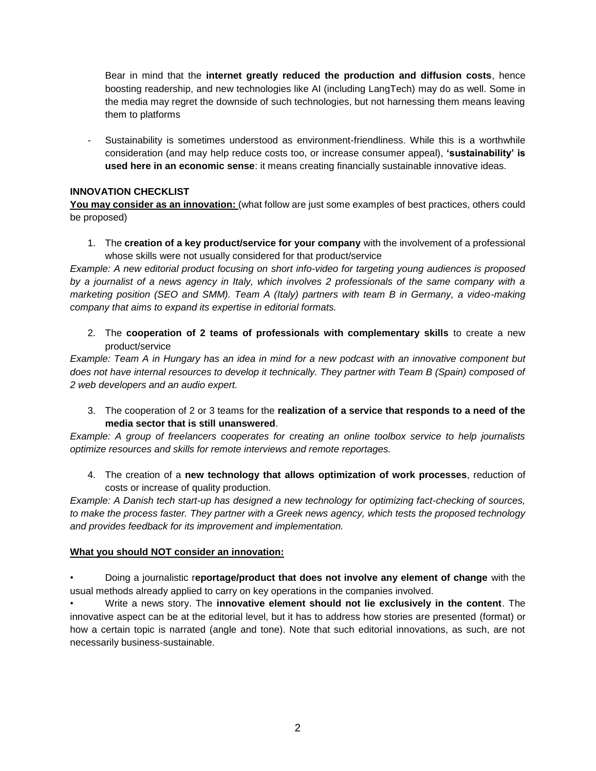Bear in mind that the **internet greatly reduced the production and diffusion costs**, hence boosting readership, and new technologies like AI (including LangTech) may do as well. Some in the media may regret the downside of such technologies, but not harnessing them means leaving them to platforms

Sustainability is sometimes understood as environment-friendliness. While this is a worthwhile consideration (and may help reduce costs too, or increase consumer appeal), **'sustainability' is used here in an economic sense**: it means creating financially sustainable innovative ideas.

# **INNOVATION CHECKLIST**

**You may consider as an innovation:** (what follow are just some examples of best practices, others could be proposed)

1. The **creation of a key product/service for your company** with the involvement of a professional whose skills were not usually considered for that product/service

*Example: A new editorial product focusing on short info-video for targeting young audiences is proposed by a journalist of a news agency in Italy, which involves 2 professionals of the same company with a marketing position (SEO and SMM). Team A (Italy) partners with team B in Germany, a video-making company that aims to expand its expertise in editorial formats.*

2. The **cooperation of 2 teams of professionals with complementary skills** to create a new product/service

*Example: Team A in Hungary has an idea in mind for a new podcast with an innovative component but does not have internal resources to develop it technically. They partner with Team B (Spain) composed of 2 web developers and an audio expert.*

3. The cooperation of 2 or 3 teams for the **realization of a service that responds to a need of the media sector that is still unanswered**.

*Example: A group of freelancers cooperates for creating an online toolbox service to help journalists optimize resources and skills for remote interviews and remote reportages.*

4. The creation of a **new technology that allows optimization of work processes**, reduction of costs or increase of quality production.

*Example: A Danish tech start-up has designed a new technology for optimizing fact-checking of sources, to make the process faster. They partner with a Greek news agency, which tests the proposed technology and provides feedback for its improvement and implementation.*

# **What you should NOT consider an innovation:**

• Doing a journalistic r**eportage/product that does not involve any element of change** with the usual methods already applied to carry on key operations in the companies involved.

• Write a news story. The **innovative element should not lie exclusively in the content**. The innovative aspect can be at the editorial level, but it has to address how stories are presented (format) or how a certain topic is narrated (angle and tone). Note that such editorial innovations, as such, are not necessarily business-sustainable.